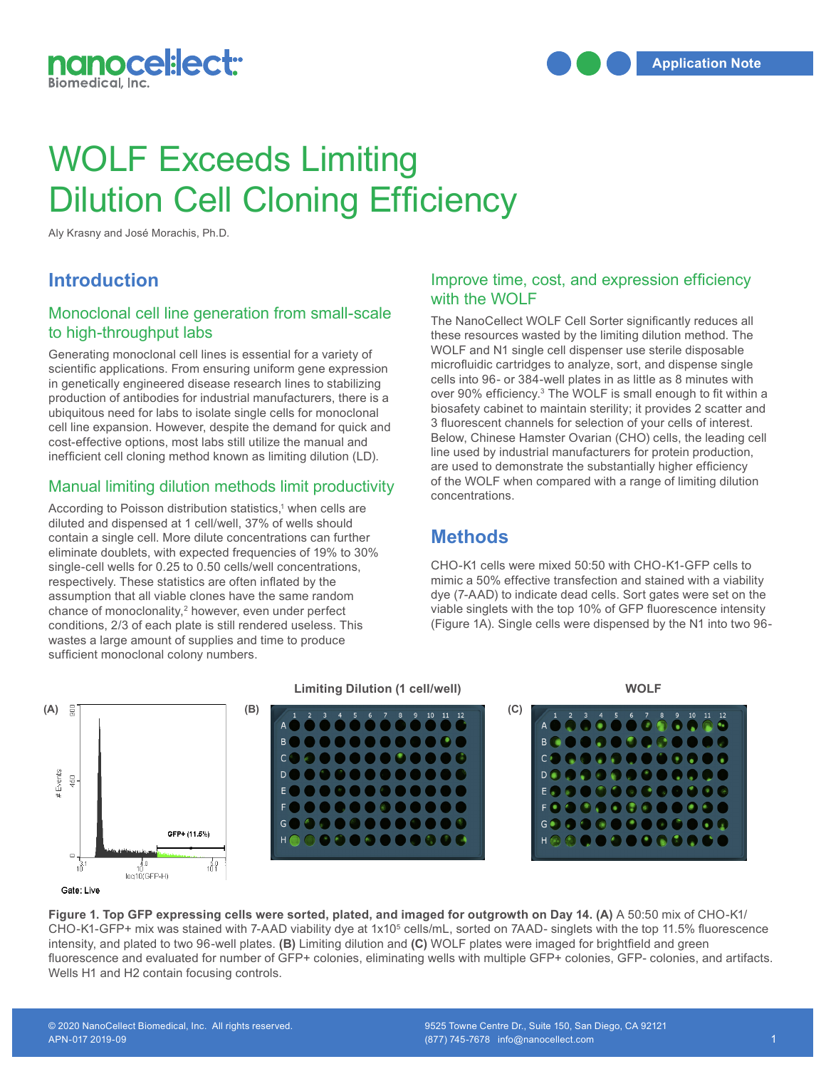

# WOLF Exceeds Limiting Dilution Cell Cloning Efficiency

Aly Krasny and José Morachis, Ph.D.

# **Introduction**

## Monoclonal cell line generation from small-scale to high-throughput labs

Generating monoclonal cell lines is essential for a variety of scientific applications. From ensuring uniform gene expression in genetically engineered disease research lines to stabilizing production of antibodies for industrial manufacturers, there is a ubiquitous need for labs to isolate single cells for monoclonal cell line expansion. However, despite the demand for quick and cost-effective options, most labs still utilize the manual and inefficient cell cloning method known as limiting dilution (LD).

#### Manual limiting dilution methods limit productivity

According to Poisson distribution statistics,<sup>1</sup> when cells are diluted and dispensed at 1 cell/well, 37% of wells should recording to Foldern diditibation eduction, when come are diluted and dispensed at 1 cell/well, 37% of wells should contain a single cell. More dilute concentrations can further eliminate doublets, with expected frequencies of 19% to 30% eliminate doublets, with expected frequencies of 19% to 30%<br>single-cell wells for 0.25 to 0.50 cells/well concentrations, CH respectively. These statistics are often inflated by the assumption that all viable clones have the same random chance of monoclonality,<sup>2</sup> however, even under perfect conditions, 2/3 of each plate is still rendered useless. This **Limitia** a large amount of supplies and time to produce **Limitia Limitia Limitia Collection (1 cell/weble) Collection (1 cell/weble) Collection (1 cell/weble) Collection (1 cell/weble) Collection (1 cell/web** sufficient monoclonal colony numbers.

#### Improve time, cost, and expression efficiency with the WOLF

The NanoCellect WOLF Cell Sorter significantly reduces all these resources wasted by the limiting dilution method. The WOLF and N1 single cell dispenser use sterile disposable microfluidic cartridges to analyze, sort, and dispense single cells into 96- or 384-well plates in as little as 8 minutes with over 90% efficiency.<sup>3</sup> The WOLF is small enough to fit within a biosafety cabinet to maintain sterility; it provides 2 scatter and 3 fluorescent channels for selection of your cells of interest. Below, Chinese Hamster Ovarian (CHO) cells, the leading cell line used by industrial manufacturers for protein production, are used to demonstrate the substantially higher efficiency of the WOLF when compared with a range of limiting dilution concentrations.

# **Methods**

CHO-K1 cells were mixed 50:50 with CHO-K1-GFP cells to mimic a 50% effective transfection and stained with a viability dye (7-AAD) to indicate dead cells. Sort gates were set on the viable singlets with the top 10% of GFP fluorescence intensity (Figure 1A). Single cells were dispensed by the N1 into two 96-



Figure 1. Top GFP expressing cells were sorted, plated, and imaged for outgrowth on Day 14. (A) A 50:50 mix of CHO-K1/<br>CHO K4 GER CHO-K1-GFP+ mix was stained with 7-AAD viability dye at 1x10<sup>5</sup> cells/mL, sorted on 7AAD- singlets with the top 11.5% fluorescence intensity, and plated to two 96-well plates. (**B)** Limiting dilution and (C) WOLF plates were imaged for brightfield and green fluorescence and evaluated for number of GFP+ colonies, eliminating wells with multiple GFP+ colonies, GFP- colonies, and artifacts. Wells H1 and H2 contain focusing controls.